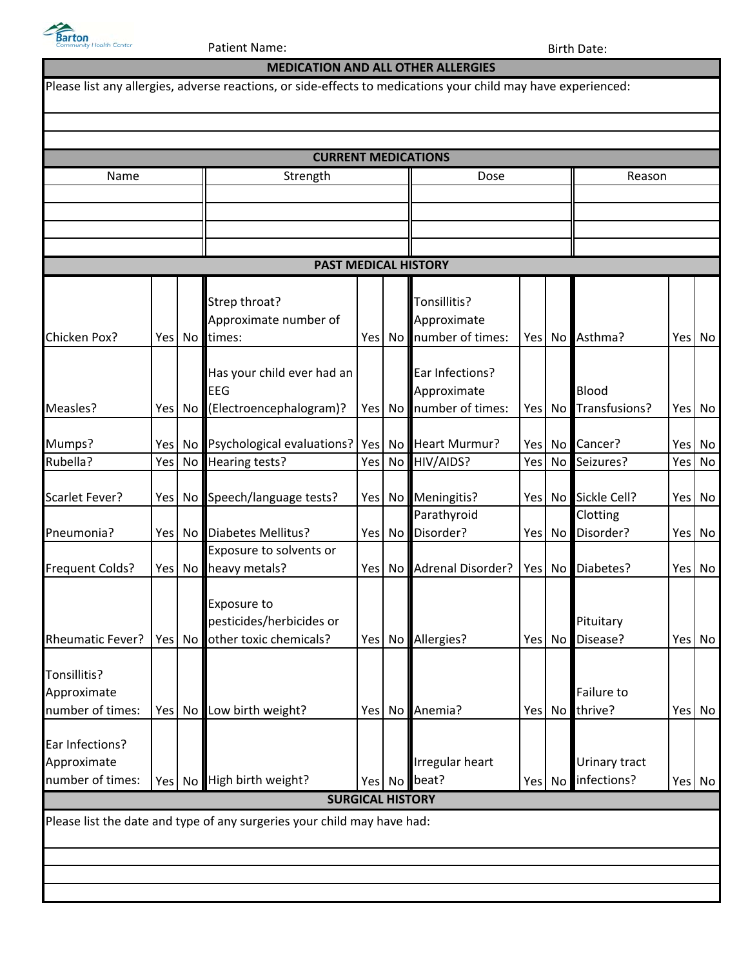

Patient Name: Birth Date:

|                                 |      |           | <b>CURRENT MEDICATIONS</b>                                              |       |                 |                          |        |        |                |     |           |
|---------------------------------|------|-----------|-------------------------------------------------------------------------|-------|-----------------|--------------------------|--------|--------|----------------|-----|-----------|
| Name                            |      |           | Strength                                                                | Dose  |                 |                          | Reason |        |                |     |           |
|                                 |      |           |                                                                         |       |                 |                          |        |        |                |     |           |
|                                 |      |           |                                                                         |       |                 |                          |        |        |                |     |           |
|                                 |      |           |                                                                         |       |                 |                          |        |        |                |     |           |
|                                 |      |           | <b>PAST MEDICAL HISTORY</b>                                             |       |                 |                          |        |        |                |     |           |
|                                 |      |           | Strep throat?                                                           |       |                 | Tonsillitis?             |        |        |                |     |           |
|                                 |      |           | Approximate number of                                                   |       |                 | Approximate              |        |        |                |     |           |
| Chicken Pox?                    | Yesl | No l      | times:                                                                  | Yes l | No              | number of times:         |        |        | Yes No Asthma? | Yes | No        |
|                                 |      |           |                                                                         |       |                 |                          |        |        |                |     |           |
|                                 |      |           | Has your child ever had an                                              |       |                 | Ear Infections?          |        |        |                |     |           |
|                                 |      |           | EEG                                                                     |       |                 | Approximate              |        |        | Blood          |     |           |
| Measles?                        |      | Yes No    | (Electroencephalogram)?                                                 | Yes   | No              | number of times:         |        | Yes No | Transfusions?  | Yes | No        |
| Mumps?                          |      | Yes No    | Psychological evaluations?                                              | Yes   |                 | No Heart Murmur?         |        | Yes No | Cancer?        | Yes | <b>No</b> |
| Rubella?                        | Yes  | <b>No</b> | Hearing tests?                                                          | Yes   | <b>No</b>       | HIV/AIDS?                | Yes    | No     | Seizures?      | Yes | No        |
|                                 |      |           |                                                                         |       |                 |                          |        |        |                |     |           |
| Scarlet Fever?                  |      | Yes No    | Speech/language tests?                                                  | Yes   |                 | No Meningitis?           |        | Yes No | Sickle Cell?   | Yes | No        |
|                                 |      |           |                                                                         |       |                 | Parathyroid              |        |        | Clotting       |     |           |
| Pneumonia?                      |      | Yes No    | <b>Diabetes Mellitus?</b><br>Exposure to solvents or                    | Yes   | No <sub>l</sub> | Disorder?                |        | Yes No | Disorder?      |     | Yes No    |
| <b>Frequent Colds?</b>          |      | Yes No    | heavy metals?                                                           | Yes   | No I            | Adrenal Disorder?        |        | Yes No | Diabetes?      | Yes | No        |
|                                 |      |           |                                                                         |       |                 |                          |        |        |                |     |           |
|                                 |      |           | Exposure to                                                             |       |                 |                          |        |        |                |     |           |
|                                 |      |           | pesticides/herbicides or                                                |       |                 |                          |        |        | Pituitary      |     |           |
| <b>Rheumatic Fever?</b>         |      | Yes No    | other toxic chemicals?                                                  | Yes   |                 | No Allergies?            |        | Yes No | Disease?       |     | Yes No    |
| Tonsillitis?                    |      |           |                                                                         |       |                 |                          |        |        |                |     |           |
| Approximate                     |      |           |                                                                         |       |                 |                          |        |        | Failure to     |     |           |
| number of times:                |      | Yes No    | Low birth weight?                                                       | Yes   |                 | No Anemia?               |        | Yes No | thrive?        |     | Yes No    |
|                                 |      |           |                                                                         |       |                 |                          |        |        |                |     |           |
| Ear Infections?                 |      |           |                                                                         |       |                 |                          |        |        |                |     |           |
| Approximate<br>number of times: |      |           |                                                                         |       |                 | Irregular heart<br>beat? |        |        | Urinary tract  |     |           |
|                                 |      | Yes No    | High birth weight?<br><b>SURGICAL HISTORY</b>                           |       | Yes No          |                          |        | Yes No | infections?    |     | Yes No    |
|                                 |      |           | Please list the date and type of any surgeries your child may have had: |       |                 |                          |        |        |                |     |           |
|                                 |      |           |                                                                         |       |                 |                          |        |        |                |     |           |
|                                 |      |           |                                                                         |       |                 |                          |        |        |                |     |           |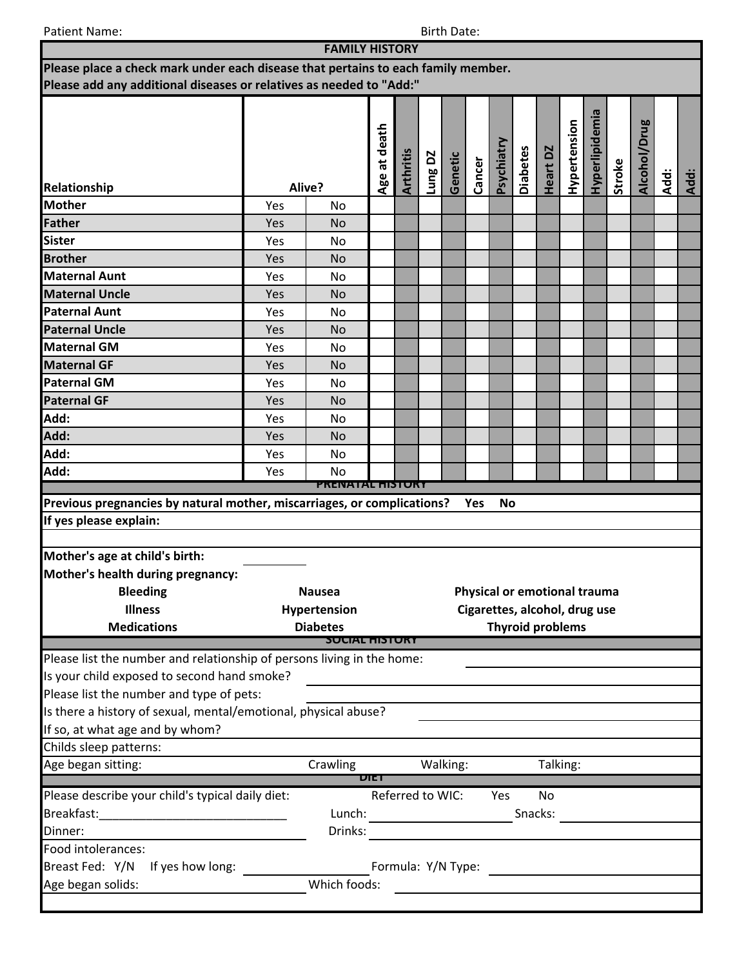Patient Name: Birth Date: Birth Date: Birth Date: Birth Date: Birth Date: Birth Date: Birth Date: Birth Date: Birth Date: Birth Date: Birth Date: Birth Date: Birth Date: Birth Date: Birth Date: Birth Date: Birth Date: Birt

|                                                                                   |     | <b>FAMILY HISTORY</b>   |              |                                                  |         |          |        |            |                 |                                                                                                                      |              |                |        |              |      |      |
|-----------------------------------------------------------------------------------|-----|-------------------------|--------------|--------------------------------------------------|---------|----------|--------|------------|-----------------|----------------------------------------------------------------------------------------------------------------------|--------------|----------------|--------|--------------|------|------|
| Please place a check mark under each disease that pertains to each family member. |     |                         |              |                                                  |         |          |        |            |                 |                                                                                                                      |              |                |        |              |      |      |
| Please add any additional diseases or relatives as needed to "Add:"               |     |                         |              |                                                  |         |          |        |            |                 |                                                                                                                      |              |                |        |              |      |      |
|                                                                                   |     |                         | Age at death | Arthritis                                        | Lung DZ | Genetic  | Cancer | Psychiatry | <b>Diabetes</b> | Heart DZ                                                                                                             | Hypertension | Hyperlipidemia | Stroke | Alcohol/Drug |      |      |
| Relationship                                                                      |     | Alive?                  |              |                                                  |         |          |        |            |                 |                                                                                                                      |              |                |        |              | Add: | Add: |
| <b>Mother</b>                                                                     | Yes | No                      |              |                                                  |         |          |        |            |                 |                                                                                                                      |              |                |        |              |      |      |
| Father                                                                            | Yes | <b>No</b>               |              |                                                  |         |          |        |            |                 |                                                                                                                      |              |                |        |              |      |      |
| <b>Sister</b>                                                                     | Yes | No                      |              |                                                  |         |          |        |            |                 |                                                                                                                      |              |                |        |              |      |      |
| <b>Brother</b>                                                                    | Yes | <b>No</b>               |              |                                                  |         |          |        |            |                 |                                                                                                                      |              |                |        |              |      |      |
| <b>Maternal Aunt</b>                                                              | Yes | No                      |              |                                                  |         |          |        |            |                 |                                                                                                                      |              |                |        |              |      |      |
| <b>Maternal Uncle</b>                                                             | Yes | <b>No</b>               |              |                                                  |         |          |        |            |                 |                                                                                                                      |              |                |        |              |      |      |
| <b>Paternal Aunt</b>                                                              | Yes | No                      |              |                                                  |         |          |        |            |                 |                                                                                                                      |              |                |        |              |      |      |
| <b>Paternal Uncle</b>                                                             | Yes | <b>No</b>               |              |                                                  |         |          |        |            |                 |                                                                                                                      |              |                |        |              |      |      |
| <b>Maternal GM</b>                                                                | Yes | No                      |              |                                                  |         |          |        |            |                 |                                                                                                                      |              |                |        |              |      |      |
| <b>Maternal GF</b>                                                                | Yes | <b>No</b>               |              |                                                  |         |          |        |            |                 |                                                                                                                      |              |                |        |              |      |      |
| <b>Paternal GM</b>                                                                | Yes | No                      |              |                                                  |         |          |        |            |                 |                                                                                                                      |              |                |        |              |      |      |
| <b>Paternal GF</b>                                                                | Yes | <b>No</b>               |              |                                                  |         |          |        |            |                 |                                                                                                                      |              |                |        |              |      |      |
| Add:                                                                              | Yes | No                      |              |                                                  |         |          |        |            |                 |                                                                                                                      |              |                |        |              |      |      |
| Add:                                                                              | Yes | <b>No</b>               |              |                                                  |         |          |        |            |                 |                                                                                                                      |              |                |        |              |      |      |
| Add:                                                                              | Yes | No                      |              |                                                  |         |          |        |            |                 |                                                                                                                      |              |                |        |              |      |      |
| Add:                                                                              | Yes | <b>No</b>               |              |                                                  |         |          |        |            |                 |                                                                                                                      |              |                |        |              |      |      |
|                                                                                   |     | <b>PRENATAL HISTORY</b> |              |                                                  |         |          |        |            |                 |                                                                                                                      |              |                |        |              |      |      |
| Previous pregnancies by natural mother, miscarriages, or complications?           |     |                         |              |                                                  |         |          | Yes    | <b>No</b>  |                 |                                                                                                                      |              |                |        |              |      |      |
| If yes please explain:                                                            |     |                         |              |                                                  |         |          |        |            |                 |                                                                                                                      |              |                |        |              |      |      |
|                                                                                   |     |                         |              |                                                  |         |          |        |            |                 |                                                                                                                      |              |                |        |              |      |      |
| Mother's age at child's birth:                                                    |     |                         |              |                                                  |         |          |        |            |                 |                                                                                                                      |              |                |        |              |      |      |
| Mother's health during pregnancy:                                                 |     |                         |              |                                                  |         |          |        |            |                 |                                                                                                                      |              |                |        |              |      |      |
| <b>Bleeding</b>                                                                   |     | <b>Nausea</b>           |              |                                                  |         |          |        |            |                 | Physical or emotional trauma                                                                                         |              |                |        |              |      |      |
| <b>Illness</b><br>Hypertension                                                    |     |                         |              |                                                  |         |          |        |            |                 | Cigarettes, alcohol, drug use                                                                                        |              |                |        |              |      |      |
| <b>Medications</b>                                                                |     | <b>Diabetes</b>         |              | <b>Thyroid problems</b><br><b>SUCIAL HISTORY</b> |         |          |        |            |                 |                                                                                                                      |              |                |        |              |      |      |
|                                                                                   |     |                         |              |                                                  |         |          |        |            |                 |                                                                                                                      |              |                |        |              |      |      |
| Please list the number and relationship of persons living in the home:            |     |                         |              |                                                  |         |          |        |            |                 |                                                                                                                      |              |                |        |              |      |      |
| Is your child exposed to second hand smoke?                                       |     |                         |              |                                                  |         |          |        |            |                 |                                                                                                                      |              |                |        |              |      |      |
| Please list the number and type of pets:                                          |     |                         |              |                                                  |         |          |        |            |                 |                                                                                                                      |              |                |        |              |      |      |
| Is there a history of sexual, mental/emotional, physical abuse?                   |     |                         |              |                                                  |         |          |        |            |                 |                                                                                                                      |              |                |        |              |      |      |
| If so, at what age and by whom?                                                   |     |                         |              |                                                  |         |          |        |            |                 |                                                                                                                      |              |                |        |              |      |      |
| Childs sleep patterns:                                                            |     |                         |              |                                                  |         |          |        |            |                 |                                                                                                                      |              |                |        |              |      |      |
| Age began sitting:                                                                |     | Crawling                | <b>DIET</b>  |                                                  |         | Walking: |        |            |                 |                                                                                                                      | Talking:     |                |        |              |      |      |
| Please describe your child's typical daily diet:                                  |     |                         |              | Referred to WIC:                                 |         |          |        | Yes        |                 | <b>No</b>                                                                                                            |              |                |        |              |      |      |
|                                                                                   |     | Lunch:                  |              |                                                  |         |          |        |            |                 | Snacks:                                                                                                              |              |                |        |              |      |      |
| Dinner:                                                                           |     | Drinks:                 |              |                                                  |         |          |        |            |                 |                                                                                                                      |              |                |        |              |      |      |
| Food intolerances:                                                                |     |                         |              |                                                  |         |          |        |            |                 |                                                                                                                      |              |                |        |              |      |      |
| Breast Fed: Y/N<br>If yes how long:                                               |     |                         |              | Formula: Y/N Type:                               |         |          |        |            |                 |                                                                                                                      |              |                |        |              |      |      |
| Age began solids:                                                                 |     | Which foods:            |              |                                                  |         |          |        |            |                 |                                                                                                                      |              |                |        |              |      |      |
|                                                                                   |     |                         |              |                                                  |         |          |        |            |                 | <u> 1989 - Jan Samuel Barbara, margaret e populari e populari e populari e populari e populari e populari e popu</u> |              |                |        |              |      |      |